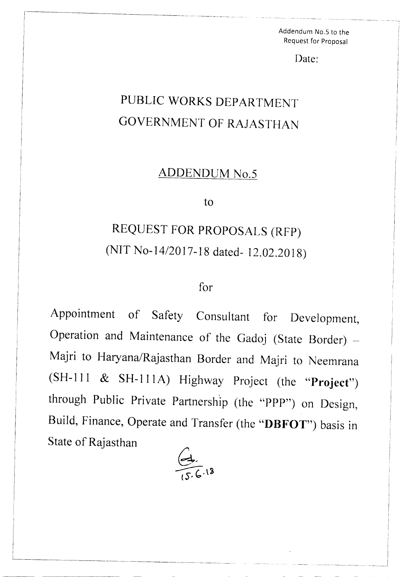Addendum NO.5 to the Request for Proposal

Date:

## PUBLIC WORKS DEPARTMENT GOVERNMENT OF RAJASTHAN

## ADDENDUM No.5

to

## REQUEST FOR PROPOSALS (RFP) (NIT *No-14/2017-18* dated- 12.02.2018)

## for

Appointment of Safety Consultant for Development, Operation and Maintenance of the Gadoj (State Border)  $-$ Majri to *Haryana/Rajasthan* Border and Majri to Neemrana (SH-111 & SH-111A) Highway Project (the "Project") through Public Private Partnership (the "PPP") on Design, Build, Finance, Operate and Transfer (the "DBFOT") basis in State of Rajasthan



L\_\_